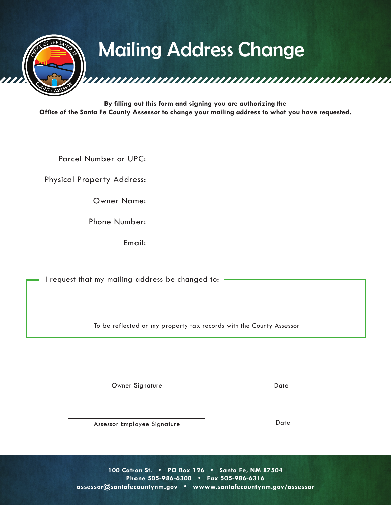

**By filling out this form and signing you are authorizing the Office of the Santa Fe County Assessor to change your mailing address to what you have requested.**

| Email: | <u> 1989 - Andrea State Barbara, amerikan personal di sebagai personal di sebagai personal di sebagai personal di</u> |
|--------|-----------------------------------------------------------------------------------------------------------------------|

I request that my mailing address be changed to: -

To be reflected on my property tax records with the County Assessor

Owner Signature Date

Assessor Employee Signature Date

**100 Catron St. • PO Box 126 • Santa Fe, NM 87504 Phone 505-986-6300 • Fax 505-986-6316 assessor@santafecountynm.gov • wwww.santafecountynm.gov/assessor**